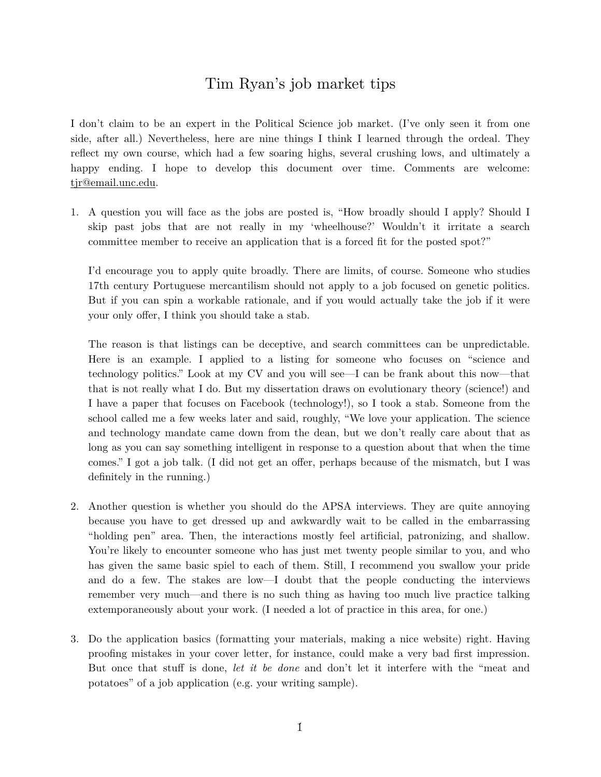## Tim Ryan's job market tips

I don't claim to be an expert in the Political Science job market. (I've only seen it from one side, after all.) Nevertheless, here are nine things I think I learned through the ordeal. They reflect my own course, which had a few soaring highs, several crushing lows, and ultimately a happy ending. I hope to develop this document over time. Comments are welcome: [tjr@email.unc.edu.](mailto:tjr@email.unc.edu)

1. A question you will face as the jobs are posted is, "How broadly should I apply? Should I skip past jobs that are not really in my 'wheelhouse?' Wouldn't it irritate a search committee member to receive an application that is a forced fit for the posted spot?"

I'd encourage you to apply quite broadly. There are limits, of course. Someone who studies 17th century Portuguese mercantilism should not apply to a job focused on genetic politics. But if you can spin a workable rationale, and if you would actually take the job if it were your only offer, I think you should take a stab.

The reason is that listings can be deceptive, and search committees can be unpredictable. Here is an example. I applied to a listing for someone who focuses on "science and technology politics." Look at my CV and you will see—I can be frank about this now—that that is not really what I do. But my dissertation draws on evolutionary theory (science!) and I have a paper that focuses on Facebook (technology!), so I took a stab. Someone from the school called me a few weeks later and said, roughly, "We love your application. The science and technology mandate came down from the dean, but we don't really care about that as long as you can say something intelligent in response to a question about that when the time comes." I got a job talk. (I did not get an offer, perhaps because of the mismatch, but I was definitely in the running.)

- 2. Another question is whether you should do the APSA interviews. They are quite annoying because you have to get dressed up and awkwardly wait to be called in the embarrassing "holding pen" area. Then, the interactions mostly feel artificial, patronizing, and shallow. You're likely to encounter someone who has just met twenty people similar to you, and who has given the same basic spiel to each of them. Still, I recommend you swallow your pride and do a few. The stakes are low—I doubt that the people conducting the interviews remember very much—and there is no such thing as having too much live practice talking extemporaneously about your work. (I needed a lot of practice in this area, for one.)
- 3. Do the application basics (formatting your materials, making a nice website) right. Having proofing mistakes in your cover letter, for instance, could make a very bad first impression. But once that stuff is done, *let it be done* and don't let it interfere with the "meat and potatoes" of a job application (e.g. your writing sample).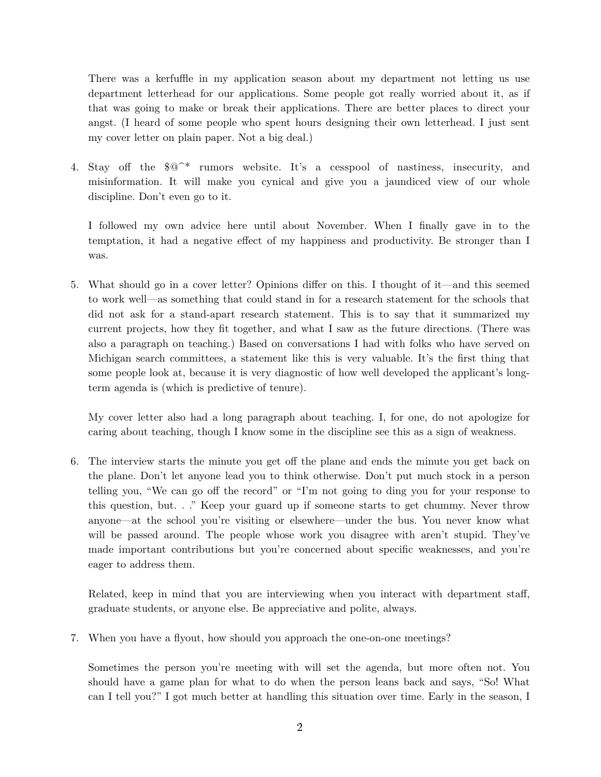There was a kerfuffle in my application season about my department not letting us use department letterhead for our applications. Some people got really worried about it, as if that was going to make or break their applications. There are better places to direct your angst. (I heard of some people who spent hours designing their own letterhead. I just sent my cover letter on plain paper. Not a big deal.)

4. Stay off the \$@^\* rumors website. It's a cesspool of nastiness, insecurity, and misinformation. It will make you cynical and give you a jaundiced view of our whole discipline. Don't even go to it.

I followed my own advice here until about November. When I finally gave in to the temptation, it had a negative effect of my happiness and productivity. Be stronger than I was.

5. What should go in a cover letter? Opinions differ on this. I thought of it—and this seemed to work well—as something that could stand in for a research statement for the schools that did not ask for a stand-apart research statement. This is to say that it summarized my current projects, how they fit together, and what I saw as the future directions. (There was also a paragraph on teaching.) Based on conversations I had with folks who have served on Michigan search committees, a statement like this is very valuable. It's the first thing that some people look at, because it is very diagnostic of how well developed the applicant's longterm agenda is (which is predictive of tenure).

My cover letter also had a long paragraph about teaching. I, for one, do not apologize for caring about teaching, though I know some in the discipline see this as a sign of weakness.

6. The interview starts the minute you get off the plane and ends the minute you get back on the plane. Don't let anyone lead you to think otherwise. Don't put much stock in a person telling you, "We can go off the record" or "I'm not going to ding you for your response to this question, but. . ." Keep your guard up if someone starts to get chummy. Never throw anyone—at the school you're visiting or elsewhere—under the bus. You never know what will be passed around. The people whose work you disagree with aren't stupid. They've made important contributions but you're concerned about specific weaknesses, and you're eager to address them.

Related, keep in mind that you are interviewing when you interact with department staff, graduate students, or anyone else. Be appreciative and polite, always.

7. When you have a flyout, how should you approach the one-on-one meetings?

Sometimes the person you're meeting with will set the agenda, but more often not. You should have a game plan for what to do when the person leans back and says, "So! What can I tell you?" I got much better at handling this situation over time. Early in the season, I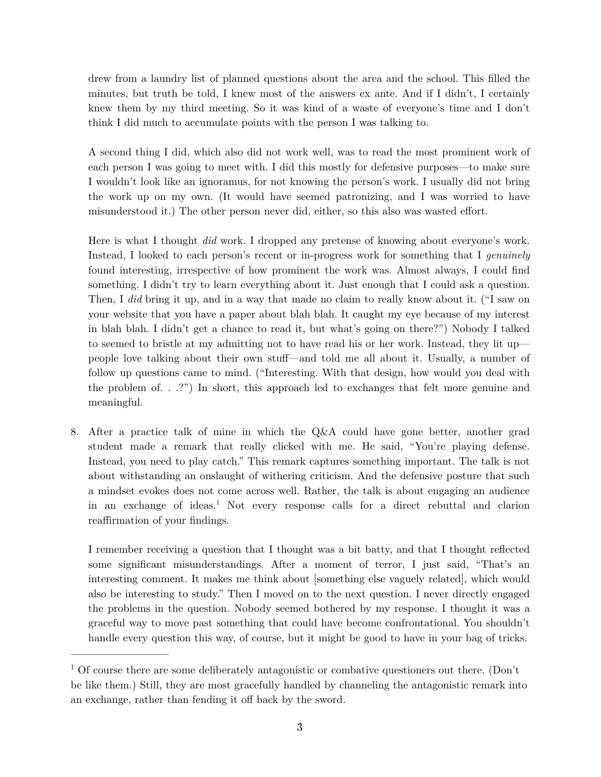drew from a laundry list of planned questions about the area and the school. This filled the minutes, but truth be told, I knew most of the answers ex ante. And if I didn't, I certainly knew them by my third meeting. So it was kind of a waste of everyone's time and I don't think I did much to accumulate points with the person I was talking to.

A second thing I did, which also did not work well, was to read the most prominent work of each person I was going to meet with. I did this mostly for defensive purposes—to make sure I wouldn't look like an ignoramus, for not knowing the person's work. I usually did not bring the work up on my own. (It would have seemed patronizing, and I was worried to have misunderstood it.) The other person never did, either, so this also was wasted effort.

Here is what I thought *did* work. I dropped any pretense of knowing about everyone's work. Instead, I looked to each person's recent or in-progress work for something that I *genuinely* found interesting, irrespective of how prominent the work was. Almost always, I could find something. I didn't try to learn everything about it. Just enough that I could ask a question. Then, I *did* bring it up, and in a way that made no claim to really know about it. ("I saw on your website that you have a paper about blah blah. It caught my eye because of my interest in blah blah. I didn't get a chance to read it, but what's going on there?") Nobody I talked to seemed to bristle at my admitting not to have read his or her work. Instead, they lit up people love talking about their own stuff—and told me all about it. Usually, a number of follow up questions came to mind. ("Interesting. With that design, how would you deal with the problem of. . .?") In short, this approach led to exchanges that felt more genuine and meaningful.

8. After a practice talk of mine in which the Q&A could have gone better, another grad student made a remark that really clicked with me. He said, "You're playing defense. Instead, you need to play catch." This remark captures something important. The talk is not about withstanding an onslaught of withering criticism. And the defensive posture that such a mindset evokes does not come across well. Rather, the talk is about engaging an audience in an exchange of ideas.<sup>1</sup> Not every response calls for a direct rebuttal and clarion reaffirmation of your findings.

I remember receiving a question that I thought was a bit batty, and that I thought reflected some significant misunderstandings. After a moment of terror, I just said, "That's an interesting comment. It makes me think about [something else vaguely related], which would also be interesting to study." Then I moved on to the next question. I never directly engaged the problems in the question. Nobody seemed bothered by my response. I thought it was a graceful way to move past something that could have become confrontational. You shouldn't handle every question this way, of course, but it might be good to have in your bag of tricks.

 $1$  Of course there are some deliberately antagonistic or combative questioners out there. (Don't be like them.) Still, they are most gracefully handled by channeling the antagonistic remark into an exchange, rather than fending it off back by the sword.